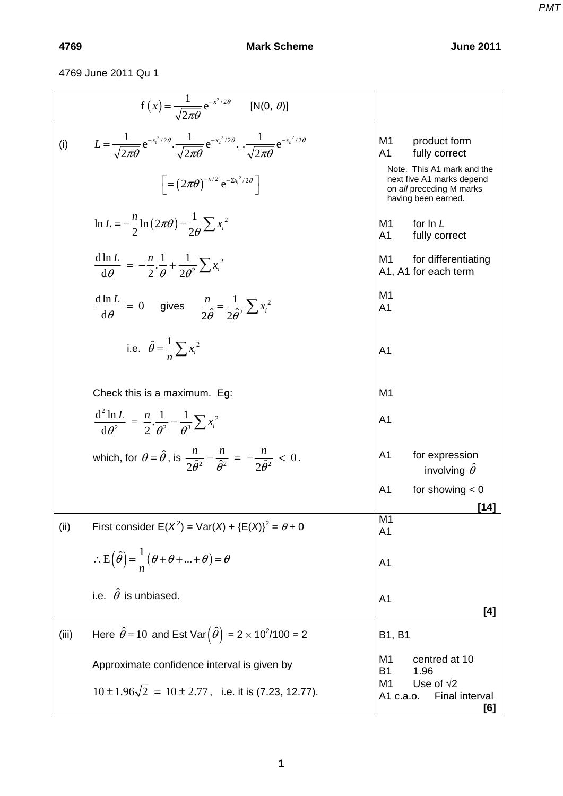4769 June 2011 Qu 1

| $f(x) = {1 \over \sqrt{2\pi\theta}} e^{-x^2/2\theta}$ [N(0, $\theta$ )]                                                                                               |                                                                                                            |
|-----------------------------------------------------------------------------------------------------------------------------------------------------------------------|------------------------------------------------------------------------------------------------------------|
| $L = \frac{1}{\sqrt{2\pi\theta}} e^{-x_1^2/2\theta} \cdot \frac{1}{\sqrt{2\pi\theta}} e^{-x_2^2/2\theta} \cdot \frac{1}{\sqrt{2\pi\theta}} e^{-x_n^2/2\theta}$<br>(i) | M1<br>product form<br>A1<br>fully correct                                                                  |
| $\left[ = \left( 2\pi\theta \right)^{-n/2} e^{-\Sigma x_i^2/2\theta} \right]$                                                                                         | Note. This A1 mark and the<br>next five A1 marks depend<br>on all preceding M marks<br>having been earned. |
| $\ln L = -\frac{n}{2} \ln \left( 2\pi \theta \right) - \frac{1}{2\theta} \sum x_i^2$                                                                                  | for In L<br>M1<br>A <sub>1</sub><br>fully correct                                                          |
| $\frac{d \ln L}{d \theta} = -\frac{n}{2} \cdot \frac{1}{\theta} + \frac{1}{2\theta^2} \sum x_i^2$                                                                     | M1<br>for differentiating<br>A1, A1 for each term                                                          |
| $rac{d \ln L}{d \theta} = 0$ gives $rac{n}{2 \hat{\theta}} = \frac{1}{2 \hat{\theta}^2} \sum x_i^2$                                                                   | M <sub>1</sub><br>A <sub>1</sub>                                                                           |
| i.e. $\hat{\theta} = \frac{1}{n} \sum x_i^2$                                                                                                                          | A <sub>1</sub>                                                                                             |
| Check this is a maximum. Eg:                                                                                                                                          | M <sub>1</sub>                                                                                             |
| $\frac{d^2 \ln L}{d \theta^2} = \frac{n}{2} \cdot \frac{1}{\theta^2} - \frac{1}{\theta^3} \sum x_i^2$                                                                 | A <sub>1</sub>                                                                                             |
| which, for $\theta = \hat{\theta}$ , is $\frac{n}{2\hat{\theta}^2} - \frac{n}{\hat{\theta}^2} = -\frac{n}{2\hat{\theta}^2} < 0$ .                                     | A <sub>1</sub><br>for expression<br>involving $\hat{\theta}$                                               |
|                                                                                                                                                                       | A <sub>1</sub><br>for showing $< 0$                                                                        |
| First consider $E(X^2) = Var(X) + {E(X)}^2 = \theta + 0$<br>(ii)                                                                                                      | [14]<br>M <sub>1</sub><br>A <sub>1</sub>                                                                   |
| $\therefore$ E( $\hat{\theta}$ ) = $\frac{1}{n}(\theta + \theta +  + \theta) = \theta$                                                                                | A <sub>1</sub>                                                                                             |
| i.e. $\hat{\theta}$ is unbiased.                                                                                                                                      | A <sub>1</sub><br>[4]                                                                                      |
| Here $\hat{\theta} = 10$ and Est Var $(\hat{\theta}) = 2 \times 10^2/100 = 2$<br>(iii)                                                                                | <b>B1, B1</b>                                                                                              |
| Approximate confidence interval is given by                                                                                                                           | centred at 10<br>M1<br><b>B1</b><br>1.96                                                                   |
| $10 \pm 1.96\sqrt{2} = 10 \pm 2.77$ , i.e. it is (7.23, 12.77).                                                                                                       | Use of $\sqrt{2}$<br>M <sub>1</sub><br><b>Final interval</b><br>A1 c.a.o.<br>[6]                           |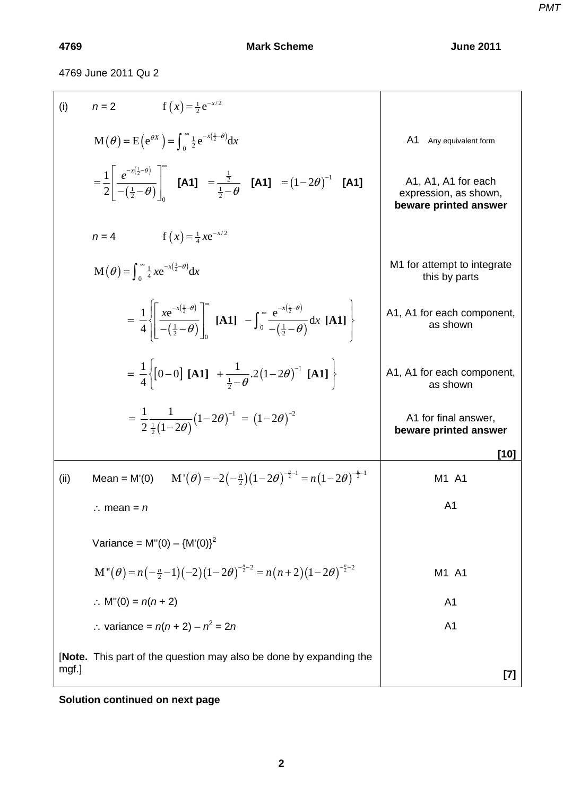4769 June 2011 Qu 2

| (i)   | $f(x) = \frac{1}{2}e^{-x/2}$<br>$n=2$                                                                                                                                             |                                                                       |
|-------|-----------------------------------------------------------------------------------------------------------------------------------------------------------------------------------|-----------------------------------------------------------------------|
|       | $\mathbf{M}\left(\theta\right) = \mathbf{E}\left(e^{\theta X}\right) = \int_{0}^{\infty} \frac{1}{2} e^{-x\left(\frac{1}{2}-\theta\right)} dx$                                    | A1<br>Any equivalent form                                             |
|       | $=\frac{1}{2}\left \frac{e^{-x(\frac{1}{2}-\theta)}}{-(\frac{1}{2}-\theta)}\right $ [A1] $=\frac{\frac{1}{2}}{\frac{1}{2}-\theta}$ [A1] $=(1-2\theta)^{-1}$ [A1]                  | A1, A1, A1 for each<br>expression, as shown,<br>beware printed answer |
|       | $f(x) = \frac{1}{4}xe^{-x/2}$<br>$n=4$                                                                                                                                            |                                                                       |
|       | $\mathbf{M}\left(\boldsymbol{\theta}\right) = \int_{0}^{\infty} \frac{1}{4} x e^{-x\left(\frac{1}{2}-\boldsymbol{\theta}\right)} dx$                                              | M1 for attempt to integrate<br>this by parts                          |
|       | $= \frac{1}{4} \left  \frac{xe^{-x(\frac{1}{2}-\theta)}}{-(\frac{1}{2}-\theta)} \right $ [A1] $-\int_0^{\infty} \frac{e^{-x(\frac{1}{2}-\theta)}}{-(\frac{1}{2}-\theta)} dx$ [A1] | A1, A1 for each component,<br>as shown                                |
|       | = $\frac{1}{4}$ [0-0] [A1] + $\frac{1}{1-\theta}$ 2(1-2 $\theta$ ) <sup>-1</sup> [A1]                                                                                             | A1, A1 for each component,<br>as shown                                |
|       | $= \frac{1}{2} \frac{1}{\frac{1}{2}(1-2\theta)} (1-2\theta)^{-1} = (1-2\theta)^{-2}$                                                                                              | A1 for final answer,<br>beware printed answer                         |
|       |                                                                                                                                                                                   | [10]                                                                  |
| (ii)  | $M'(\theta) = -2(-\frac{n}{2})(1-2\theta)^{-\frac{n}{2}-1} = n(1-2\theta)^{-\frac{n}{2}-1}$<br>$Mean = M'(0)$                                                                     | M1 A1                                                                 |
|       | $\therefore$ mean = n                                                                                                                                                             | A <sub>1</sub>                                                        |
|       | Variance = $M''(0) - {M'(0)}^2$                                                                                                                                                   |                                                                       |
|       | $M''(\theta) = n(-\frac{n}{2}-1)(-2)(1-2\theta)^{-\frac{n}{2}-2} = n(n+2)(1-2\theta)^{-\frac{n}{2}-2}$                                                                            | M1 A1                                                                 |
|       | : $M''(0) = n(n + 2)$                                                                                                                                                             | A <sub>1</sub>                                                        |
|       | $\therefore$ variance = $n(n + 2) - n^2 = 2n$                                                                                                                                     | A <sub>1</sub>                                                        |
| mgf.] | [Note. This part of the question may also be done by expanding the                                                                                                                | $[7]$                                                                 |

**Solution continued on next page**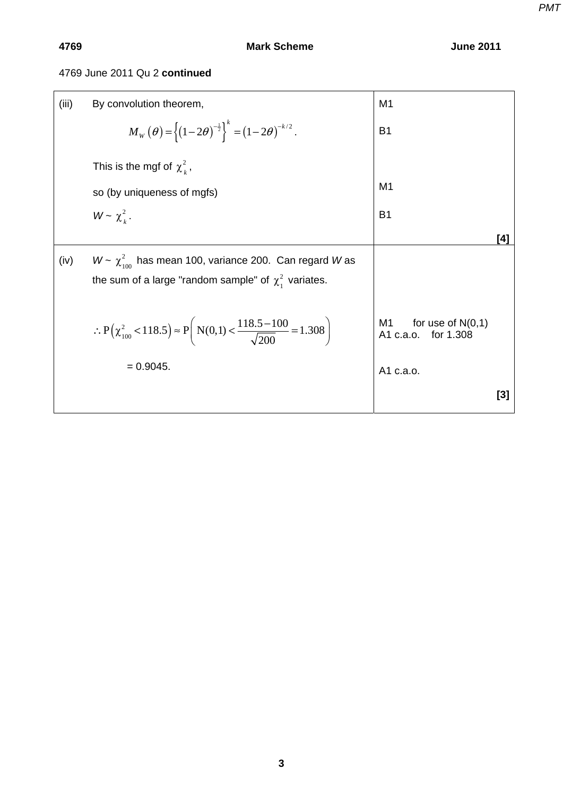## 4769 June 2011 Qu 2 **continued**

| (iii) | By convolution theorem,                                                                                                              | M <sub>1</sub>                                      |       |
|-------|--------------------------------------------------------------------------------------------------------------------------------------|-----------------------------------------------------|-------|
|       | $M_{\rm w}(\theta) = \left\{ (1-2\theta)^{-\frac{1}{2}} \right\}^{k} = (1-2\theta)^{-k/2}.$                                          | B <sub>1</sub>                                      |       |
|       | This is the mgf of $\chi^2$ ,                                                                                                        |                                                     |       |
|       | so (by uniqueness of mgfs)                                                                                                           | M <sub>1</sub>                                      |       |
|       | $W \sim \chi^2$ .                                                                                                                    | <b>B1</b>                                           |       |
|       |                                                                                                                                      |                                                     | [4]   |
| (iv)  | $W \sim \chi^2_{\text{ion}}$ has mean 100, variance 200. Can regard W as<br>the sum of a large "random sample" of $\chi^2$ variates. |                                                     |       |
|       | $\therefore P(\chi_{100}^2 < 118.5) \approx P\left(N(0,1) < \frac{118.5 - 100}{\sqrt{200}} = 1.308\right)$                           | for use of $N(0,1)$<br>M1<br>A1 c.a.o.<br>for 1.308 |       |
|       | $= 0.9045.$                                                                                                                          | A1 c.a.o.                                           |       |
|       |                                                                                                                                      |                                                     | $[3]$ |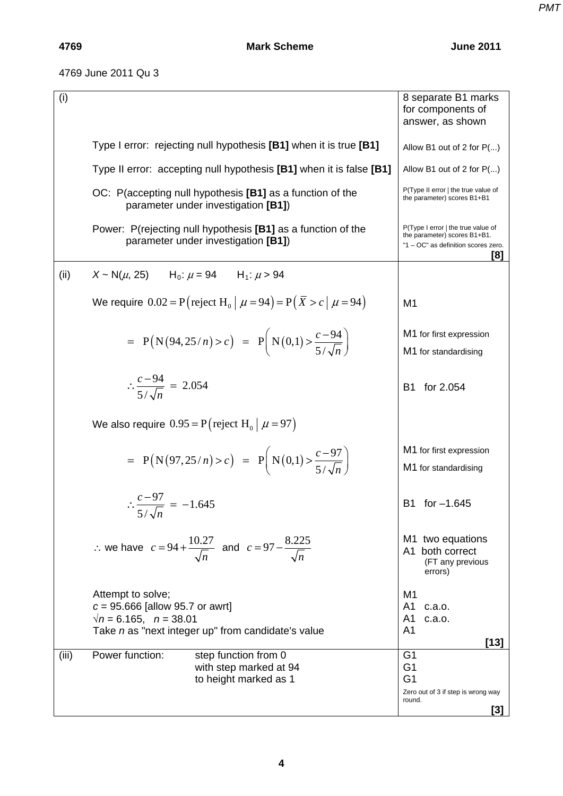## 4769 June 2011 Qu 3

| (i)   |                                                                                           |                                                                                                     | 8 separate B1 marks<br>for components of<br>answer, as shown                                                     |
|-------|-------------------------------------------------------------------------------------------|-----------------------------------------------------------------------------------------------------|------------------------------------------------------------------------------------------------------------------|
|       |                                                                                           | Type I error: rejecting null hypothesis [B1] when it is true [B1]                                   | Allow B1 out of 2 for P()                                                                                        |
|       |                                                                                           | Type II error: accepting null hypothesis [B1] when it is false [B1]                                 | Allow B1 out of 2 for P()                                                                                        |
|       |                                                                                           | OC: P(accepting null hypothesis [B1] as a function of the<br>parameter under investigation [B1])    | P(Type II error   the true value of<br>the parameter) scores B1+B1                                               |
|       |                                                                                           | Power: P(rejecting null hypothesis [B1] as a function of the<br>parameter under investigation [B1]) | P(Type I error   the true value of<br>the parameter) scores B1+B1.<br>"1 - OC" as definition scores zero.<br>[8] |
| (ii)  | $X \sim N(\mu, 25)$ $H_0: \mu = 94$ $H_1: \mu > 94$                                       |                                                                                                     |                                                                                                                  |
|       |                                                                                           | We require $0.02 = P$ (reject H <sub>0</sub>   $\mu = 94$ ) = P( $\bar{X} > c$   $\mu = 94$ )       | M <sub>1</sub>                                                                                                   |
|       |                                                                                           | = $P(N(94, 25/n) > c) = P(N(0,1) > \frac{c-94}{5/\sqrt{n}})$                                        | M1 for first expression<br>M1 for standardising                                                                  |
|       | $\therefore \frac{c-94}{5/6} = 2.054$                                                     |                                                                                                     | for 2.054<br><b>B1</b>                                                                                           |
|       | We also require $0.95 = P$ (reject H <sub>0</sub>   $\mu$ = 97)                           |                                                                                                     |                                                                                                                  |
|       |                                                                                           | = $P(N(97, 25/n) > c) = P(N(0,1)) > \frac{c-97}{5/\sqrt{n}}$                                        | M1 for first expression<br>M1 for standardising                                                                  |
|       | $\therefore \frac{c-97}{5\sqrt{n}} = -1.645$                                              |                                                                                                     | B1 for -1.645                                                                                                    |
|       |                                                                                           | ∴ we have $c = 94 + \frac{10.27}{\sqrt{n}}$ and $c = 97 - \frac{8.225}{\sqrt{n}}$                   | M1 two equations<br>A1 both correct<br>(FT any previous<br>errors)                                               |
|       | Attempt to solve;<br>$c = 95.666$ [allow 95.7 or awrt]<br>$\sqrt{n}$ = 6.165, $n = 38.01$ | Take n as "next integer up" from candidate's value                                                  | M <sub>1</sub><br>A <sub>1</sub><br>c.a.o.<br>A <sub>1</sub><br>c.a.o.<br>A <sub>1</sub><br>$[13]$               |
| (iii) | Power function:                                                                           | step function from 0<br>with step marked at 94<br>to height marked as 1                             | G <sub>1</sub><br>G <sub>1</sub><br>G <sub>1</sub><br>Zero out of 3 if step is wrong way<br>round.               |
|       |                                                                                           |                                                                                                     | [3]                                                                                                              |

*PMT*